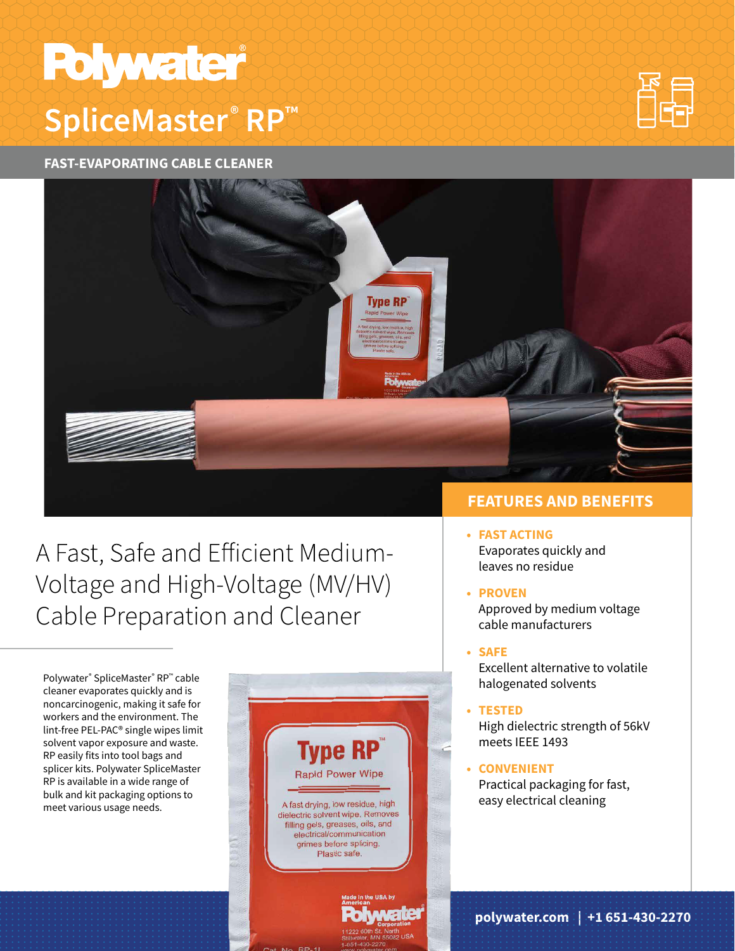# **Polywater SpliceMaster**®RP™



**FAST-EVAPORATING CABLE CLEANER**



## A Fast, Safe and Efficient Medium-[Voltage and High-Voltage \(MV/HV\)](https://www.polywater.com/en/product/polywater-type-rp-fast-evaporating-cable-cleaner/)  Cable Preparation and Cleaner

Polywater® SpliceMaster® RP™ cable cleaner evaporates quickly and is noncarcinogenic, making it safe for workers and the environment. The lint-free PEL-PAC® single wipes limit solvent vapor exposure and waste. RP easily fits into tool bags and splicer kits. Polywater SpliceMaster RP is available in a wide range of bulk and kit packaging options to meet various usage needs.



### **FEATURES AND BENEFITS**

- **• FAST ACTING**  Evaporates quickly and leaves no residue
- **• PROVEN**

Approved by medium voltage cable manufacturers

- **• SAFE**  Excellent alternative to volatile halogenated solvents
- **• TESTED**  High dielectric strength of 56kV meets IEEE 1493
- **• CONVENIENT**  Practical packaging for fast, easy electrical cleaning